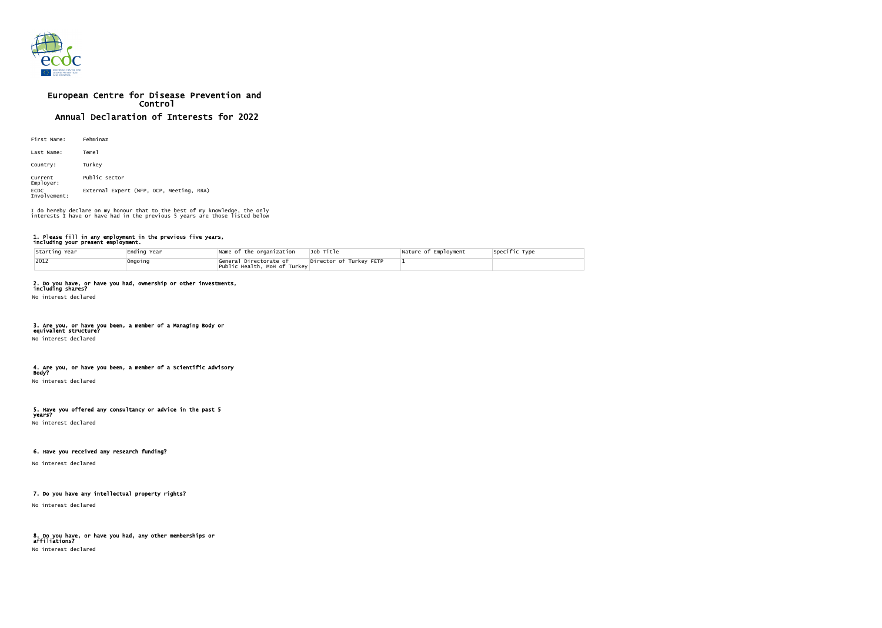

# European Centre for Disease Prevention and Control Annual Declaration of Interests for 2022

| First Name:                 | Fehminaz                                 |
|-----------------------------|------------------------------------------|
| Last Name:                  | Teme1                                    |
| Country:                    | Turkey                                   |
| Current<br>Employer:        | Public sector                            |
| <b>ECDC</b><br>Involvement: | External Expert (NFP, OCP, Meeting, RRA) |

#### 1. Please fill in any employment in the previous five years, including your present employment.

| Starting Year | Ending Year | Name of the organization                                | Job Title               | Nature of Employment | Specific Type |
|---------------|-------------|---------------------------------------------------------|-------------------------|----------------------|---------------|
| $ 2012$       | Ongoing     | General Directorate of<br> Public Health, Moh of Turkey | Director of Turkey FETP |                      |               |

## 2. Do you have, or have you had, ownership or other investments,

including shares? No interest declared

## 3. Are you, or have you been, a member of a Managing Body or

equivalent structure? No interest declared

#### 4. Are you, or have you been, a member of a Scientific Advisory Body?

No interest declared

#### 5. Have you offered any consultancy or advice in the past 5 years?

No interest declared

## 6. Have you received any research funding?

No interest declared

## 7. Do you have any intellectual property rights?

No interest declared

## 8. Do you have, or have you had, any other memberships or affiliations?

No interest declared

I do hereby declare on my honour that to the best of my knowledge, the only interests I have or have had in the previous 5 years are those listed below